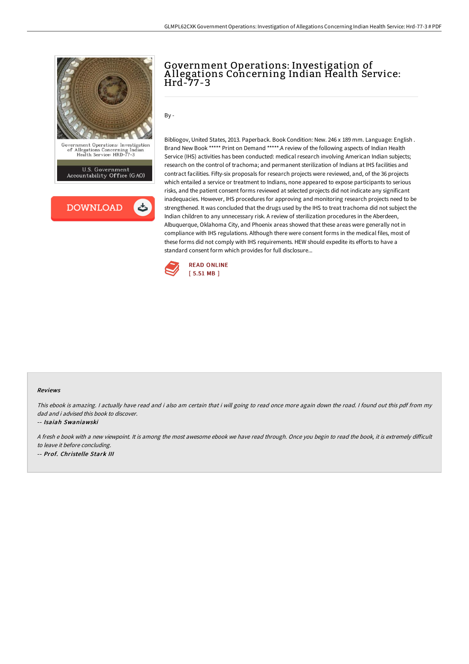

U.S. Government<br>Accountability Office (GAO)



# Government Operations: Investigation of A llegations Concerning Indian Health Service: Hrd-77-3

By -

Bibliogov, United States, 2013. Paperback. Book Condition: New. 246 x 189 mm. Language: English . Brand New Book \*\*\*\*\* Print on Demand \*\*\*\*\*.A review of the following aspects of Indian Health Service (IHS) activities has been conducted: medical research involving American Indian subjects; research on the control of trachoma; and permanent sterilization of Indians at IHS facilities and contract facilities. Fifty-six proposals for research projects were reviewed, and, of the 36 projects which entailed a service or treatment to Indians, none appeared to expose participants to serious risks, and the patient consent forms reviewed at selected projects did not indicate any significant inadequacies. However, IHS procedures for approving and monitoring research projects need to be strengthened. It was concluded that the drugs used by the IHS to treat trachoma did not subject the Indian children to any unnecessary risk. A review of sterilization procedures in the Aberdeen, Albuquerque, Oklahoma City, and Phoenix areas showed that these areas were generally not in compliance with IHS regulations. Although there were consent forms in the medical files, most of these forms did not comply with IHS requirements. HEW should expedite its efforts to have a standard consent form which provides for full disclosure...



#### Reviews

This ebook is amazing. <sup>I</sup> actually have read and i also am certain that i will going to read once more again down the road. <sup>I</sup> found out this pdf from my dad and i advised this book to discover.

-- Isaiah Swaniawski

<sup>A</sup> fresh <sup>e</sup> book with <sup>a</sup> new viewpoint. It is among the most awesome ebook we have read through. Once you begin to read the book, it is extremely diFicult to leave it before concluding.

-- Prof. Christelle Stark III